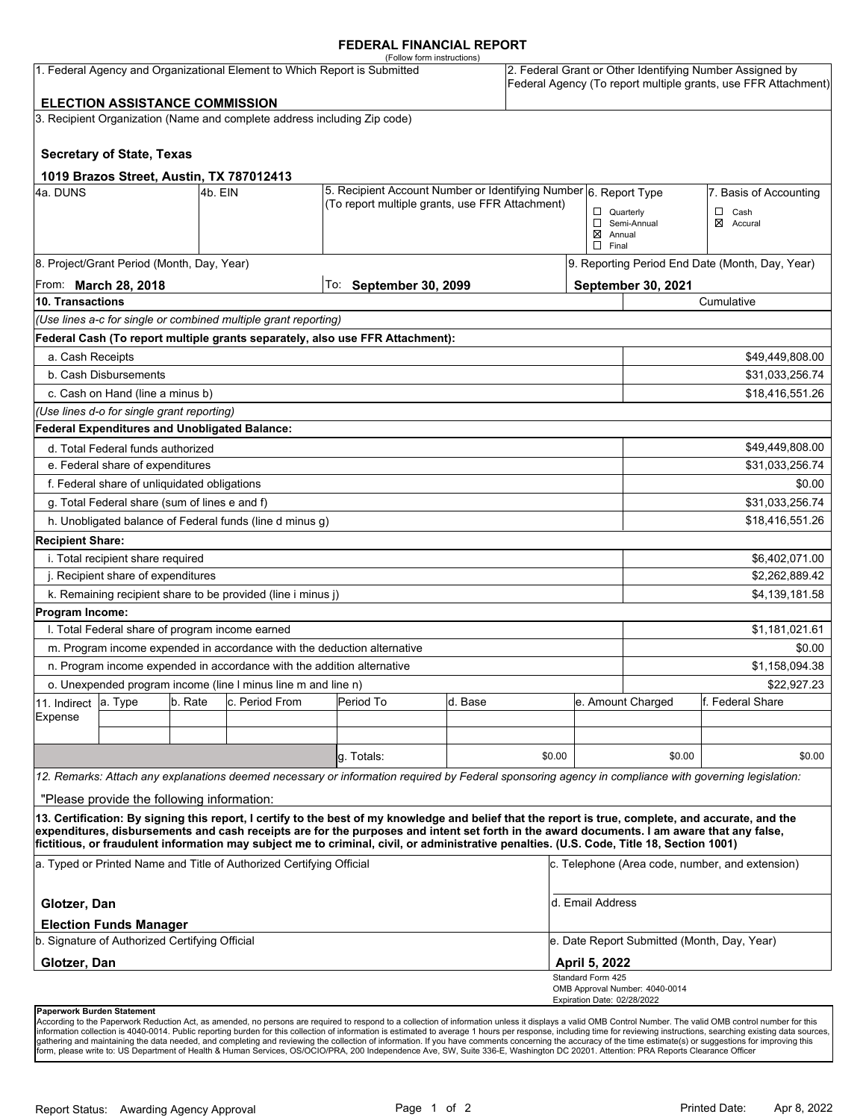### **FEDERAL FINANCIAL REPORT**

|                                                                                                                    |                                                                                |         |                                                                          | (Follow form instructions)                                                                                                                                                                                                                                                              |         |                           |                                                 |                                                                                                                            |                          |  |
|--------------------------------------------------------------------------------------------------------------------|--------------------------------------------------------------------------------|---------|--------------------------------------------------------------------------|-----------------------------------------------------------------------------------------------------------------------------------------------------------------------------------------------------------------------------------------------------------------------------------------|---------|---------------------------|-------------------------------------------------|----------------------------------------------------------------------------------------------------------------------------|--------------------------|--|
| 1. Federal Agency and Organizational Element to Which Report is Submitted<br><b>ELECTION ASSISTANCE COMMISSION</b> |                                                                                |         |                                                                          |                                                                                                                                                                                                                                                                                         |         |                           |                                                 | 2. Federal Grant or Other Identifying Number Assigned by<br>Federal Agency (To report multiple grants, use FFR Attachment) |                          |  |
|                                                                                                                    |                                                                                |         |                                                                          |                                                                                                                                                                                                                                                                                         |         |                           |                                                 |                                                                                                                            |                          |  |
|                                                                                                                    |                                                                                |         | 3. Recipient Organization (Name and complete address including Zip code) |                                                                                                                                                                                                                                                                                         |         |                           |                                                 |                                                                                                                            |                          |  |
|                                                                                                                    | <b>Secretary of State, Texas</b>                                               |         |                                                                          |                                                                                                                                                                                                                                                                                         |         |                           |                                                 |                                                                                                                            |                          |  |
|                                                                                                                    | 1019 Brazos Street, Austin, TX 787012413                                       |         |                                                                          |                                                                                                                                                                                                                                                                                         |         |                           |                                                 |                                                                                                                            |                          |  |
| 4a. DUNS                                                                                                           |                                                                                | 4b. EIN |                                                                          | 5. Recipient Account Number or Identifying Number 6. Report Type<br>(To report multiple grants, use FFR Attachment)                                                                                                                                                                     |         |                           |                                                 |                                                                                                                            | 7. Basis of Accounting   |  |
|                                                                                                                    |                                                                                |         |                                                                          |                                                                                                                                                                                                                                                                                         |         |                           | $\Box$ Quarterly                                | Semi-Annual                                                                                                                | $\Box$ Cash<br>⊠ Accural |  |
|                                                                                                                    |                                                                                |         |                                                                          |                                                                                                                                                                                                                                                                                         |         |                           | $\boxtimes$ Annual                              |                                                                                                                            |                          |  |
|                                                                                                                    |                                                                                |         |                                                                          |                                                                                                                                                                                                                                                                                         |         |                           | $\Box$ Final                                    |                                                                                                                            |                          |  |
| 8. Project/Grant Period (Month, Day, Year)                                                                         |                                                                                |         |                                                                          |                                                                                                                                                                                                                                                                                         |         |                           |                                                 | 9. Reporting Period End Date (Month, Day, Year)                                                                            |                          |  |
| From: <b>March 28, 2018</b>                                                                                        |                                                                                |         | To: September 30, 2099                                                   |                                                                                                                                                                                                                                                                                         |         | <b>September 30, 2021</b> |                                                 |                                                                                                                            |                          |  |
| 10. Transactions                                                                                                   |                                                                                |         |                                                                          |                                                                                                                                                                                                                                                                                         |         |                           |                                                 |                                                                                                                            | Cumulative               |  |
|                                                                                                                    |                                                                                |         | (Use lines a-c for single or combined multiple grant reporting)          |                                                                                                                                                                                                                                                                                         |         |                           |                                                 |                                                                                                                            |                          |  |
|                                                                                                                    |                                                                                |         |                                                                          | Federal Cash (To report multiple grants separately, also use FFR Attachment):                                                                                                                                                                                                           |         |                           |                                                 |                                                                                                                            |                          |  |
| a. Cash Receipts                                                                                                   |                                                                                |         |                                                                          |                                                                                                                                                                                                                                                                                         |         |                           |                                                 |                                                                                                                            | \$49,449,808.00          |  |
|                                                                                                                    | b. Cash Disbursements                                                          |         |                                                                          |                                                                                                                                                                                                                                                                                         |         |                           |                                                 |                                                                                                                            | \$31,033,256.74          |  |
|                                                                                                                    | c. Cash on Hand (line a minus b)                                               |         |                                                                          |                                                                                                                                                                                                                                                                                         |         |                           |                                                 |                                                                                                                            | \$18,416,551.26          |  |
|                                                                                                                    | (Use lines d-o for single grant reporting)                                     |         |                                                                          |                                                                                                                                                                                                                                                                                         |         |                           |                                                 |                                                                                                                            |                          |  |
|                                                                                                                    | Federal Expenditures and Unobligated Balance:                                  |         |                                                                          |                                                                                                                                                                                                                                                                                         |         |                           |                                                 |                                                                                                                            |                          |  |
| d. Total Federal funds authorized                                                                                  |                                                                                |         |                                                                          |                                                                                                                                                                                                                                                                                         |         |                           | \$49,449,808.00                                 |                                                                                                                            |                          |  |
|                                                                                                                    | e. Federal share of expenditures                                               |         |                                                                          |                                                                                                                                                                                                                                                                                         |         |                           |                                                 |                                                                                                                            | \$31,033,256.74          |  |
|                                                                                                                    | f. Federal share of unliquidated obligations                                   |         |                                                                          |                                                                                                                                                                                                                                                                                         |         |                           |                                                 |                                                                                                                            | \$0.00                   |  |
|                                                                                                                    | g. Total Federal share (sum of lines e and f)                                  |         |                                                                          |                                                                                                                                                                                                                                                                                         |         |                           |                                                 |                                                                                                                            | \$31,033,256.74          |  |
|                                                                                                                    |                                                                                |         | h. Unobligated balance of Federal funds (line d minus g)                 |                                                                                                                                                                                                                                                                                         |         |                           |                                                 |                                                                                                                            | \$18,416,551.26          |  |
| <b>Recipient Share:</b>                                                                                            |                                                                                |         |                                                                          |                                                                                                                                                                                                                                                                                         |         |                           |                                                 |                                                                                                                            |                          |  |
| i. Total recipient share required                                                                                  |                                                                                |         |                                                                          |                                                                                                                                                                                                                                                                                         |         |                           |                                                 | \$6,402,071.00                                                                                                             |                          |  |
| j. Recipient share of expenditures                                                                                 |                                                                                |         |                                                                          |                                                                                                                                                                                                                                                                                         |         |                           |                                                 | \$2,262,889.42                                                                                                             |                          |  |
|                                                                                                                    | k. Remaining recipient share to be provided (line i minus j)<br>\$4,139,181.58 |         |                                                                          |                                                                                                                                                                                                                                                                                         |         |                           |                                                 |                                                                                                                            |                          |  |
| Program Income:                                                                                                    |                                                                                |         |                                                                          |                                                                                                                                                                                                                                                                                         |         |                           |                                                 |                                                                                                                            |                          |  |
|                                                                                                                    | I. Total Federal share of program income earned                                |         |                                                                          |                                                                                                                                                                                                                                                                                         |         |                           |                                                 |                                                                                                                            | \$1,181,021.61           |  |
|                                                                                                                    |                                                                                |         | m. Program income expended in accordance with the deduction alternative  |                                                                                                                                                                                                                                                                                         |         |                           |                                                 |                                                                                                                            | \$0.00                   |  |
|                                                                                                                    |                                                                                |         | n. Program income expended in accordance with the addition alternative   |                                                                                                                                                                                                                                                                                         |         |                           |                                                 |                                                                                                                            | \$1,158,094.38           |  |
| o. Unexpended program income (line I minus line m and line n)                                                      |                                                                                |         |                                                                          |                                                                                                                                                                                                                                                                                         |         |                           |                                                 | \$22,927.23                                                                                                                |                          |  |
| 11. Indirect                                                                                                       | a. Type                                                                        | b. Rate | c. Period From                                                           | Period To                                                                                                                                                                                                                                                                               | d. Base |                           |                                                 | e. Amount Charged                                                                                                          | lf. Federal Share        |  |
| Expense                                                                                                            |                                                                                |         |                                                                          |                                                                                                                                                                                                                                                                                         |         |                           |                                                 |                                                                                                                            |                          |  |
|                                                                                                                    |                                                                                |         |                                                                          |                                                                                                                                                                                                                                                                                         |         |                           |                                                 |                                                                                                                            |                          |  |
|                                                                                                                    |                                                                                |         |                                                                          | q. Totals:                                                                                                                                                                                                                                                                              |         | \$0.00                    |                                                 | \$0.00                                                                                                                     | \$0.00                   |  |
|                                                                                                                    |                                                                                |         |                                                                          | 12. Remarks: Attach any explanations deemed necessary or information required by Federal sponsoring agency in compliance with governing legislation:                                                                                                                                    |         |                           |                                                 |                                                                                                                            |                          |  |
|                                                                                                                    | "Please provide the following information:                                     |         |                                                                          |                                                                                                                                                                                                                                                                                         |         |                           |                                                 |                                                                                                                            |                          |  |
|                                                                                                                    |                                                                                |         |                                                                          | 13. Certification: By signing this report, I certify to the best of my knowledge and belief that the report is true, complete, and accurate, and the                                                                                                                                    |         |                           |                                                 |                                                                                                                            |                          |  |
|                                                                                                                    |                                                                                |         |                                                                          | expenditures, disbursements and cash receipts are for the purposes and intent set forth in the award documents. I am aware that any false,<br>fictitious, or fraudulent information may subject me to criminal, civil, or administrative penalties. (U.S. Code, Title 18, Section 1001) |         |                           |                                                 |                                                                                                                            |                          |  |
| a. Typed or Printed Name and Title of Authorized Certifying Official                                               |                                                                                |         |                                                                          |                                                                                                                                                                                                                                                                                         |         |                           | c. Telephone (Area code, number, and extension) |                                                                                                                            |                          |  |
| Glotzer, Dan                                                                                                       |                                                                                |         |                                                                          |                                                                                                                                                                                                                                                                                         |         |                           | d. Email Address                                |                                                                                                                            |                          |  |
| <b>Election Funds Manager</b><br>b. Signature of Authorized Certifying Official                                    |                                                                                |         |                                                                          |                                                                                                                                                                                                                                                                                         |         |                           |                                                 |                                                                                                                            |                          |  |
|                                                                                                                    |                                                                                |         |                                                                          |                                                                                                                                                                                                                                                                                         |         |                           | e. Date Report Submitted (Month, Day, Year)     |                                                                                                                            |                          |  |
| Glotzer, Dan                                                                                                       |                                                                                |         |                                                                          |                                                                                                                                                                                                                                                                                         |         |                           | April 5, 2022<br>Standard Form 425              |                                                                                                                            |                          |  |
|                                                                                                                    |                                                                                |         |                                                                          |                                                                                                                                                                                                                                                                                         |         |                           |                                                 | OMB Approval Number: 4040-0014                                                                                             |                          |  |
|                                                                                                                    |                                                                                |         |                                                                          |                                                                                                                                                                                                                                                                                         |         |                           | Expiration Date: 02/28/2022                     |                                                                                                                            |                          |  |

**Paperwork Burden Statement** 

According to the Paperwork Reduction Act, as amended, no persons are required to respond to a collection of information unless it displays a valid OMB Control Number. The valid OMB control number for this<br>information colle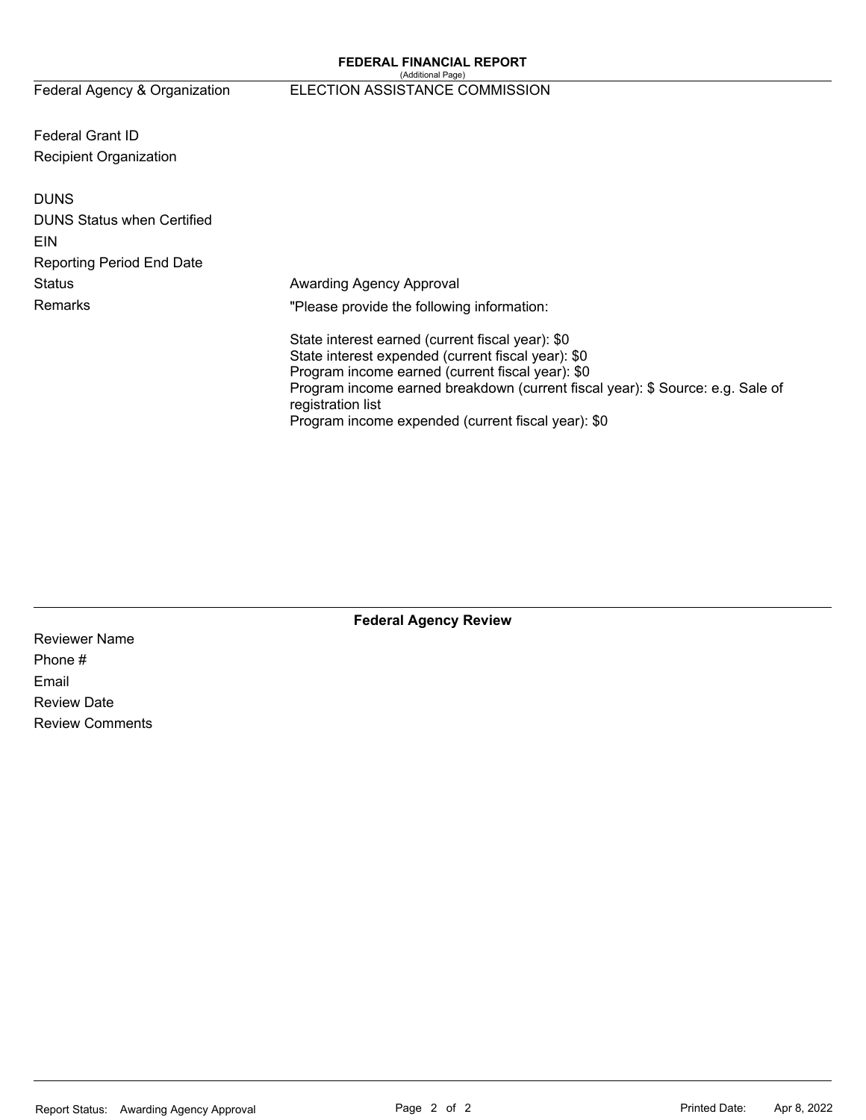# Federal Agency & Organization ELECTION ASSISTANCE COMMISSION

Federal Grant ID Recipient Organization

| <b>DUNS</b><br><b>DUNS Status when Certified</b><br>EIN<br><b>Reporting Period End Date</b> |                                                                                                                                                                                                                                                                   |
|---------------------------------------------------------------------------------------------|-------------------------------------------------------------------------------------------------------------------------------------------------------------------------------------------------------------------------------------------------------------------|
| Status                                                                                      | Awarding Agency Approval                                                                                                                                                                                                                                          |
| Remarks                                                                                     | "Please provide the following information:                                                                                                                                                                                                                        |
|                                                                                             | State interest earned (current fiscal year): \$0<br>State interest expended (current fiscal year): \$0<br>Program income earned (current fiscal year): \$0<br>Program income earned breakdown (current fiscal year): \$ Source: e.g. Sale of<br>registration list |

Program income expended (current fiscal year): \$0

**Federal Agency Review** 

Reviewer Name Phone # Email Review Date Review Comments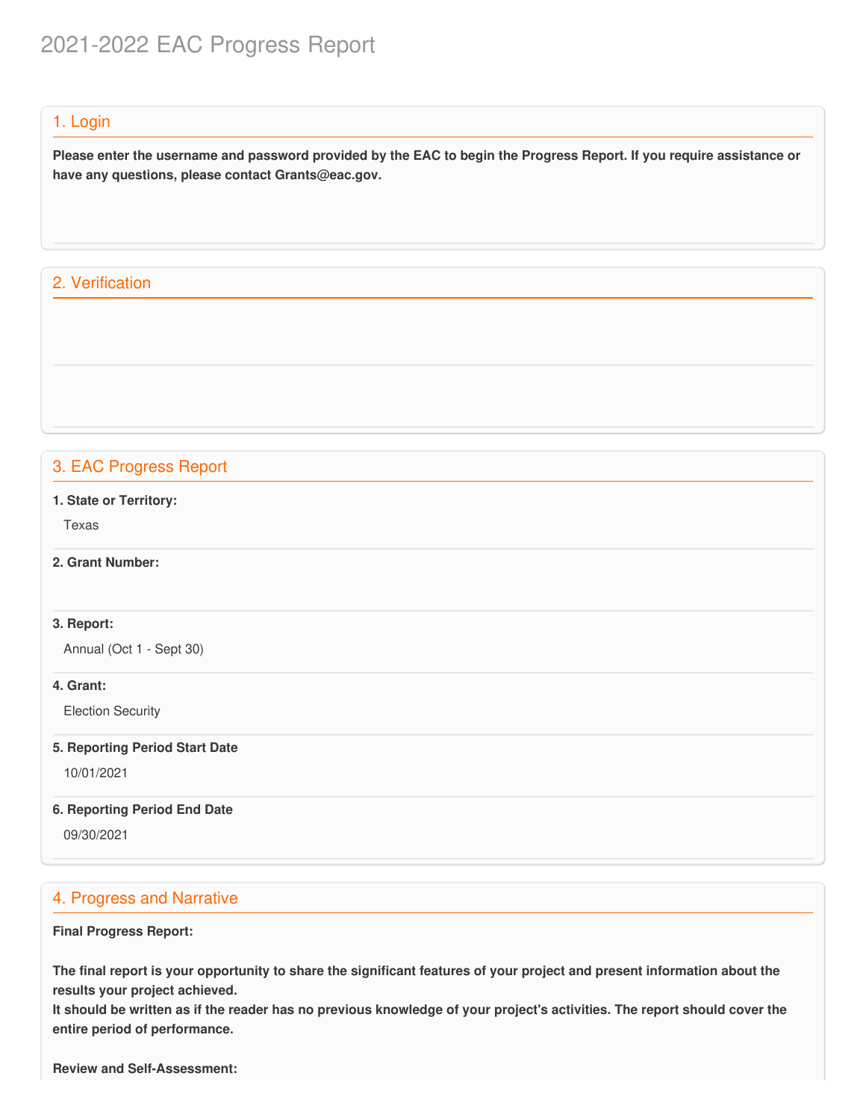# 2021-2022 EAC Progress Report

### 1. Login

Please enter the username and password provided by the EAC to begin the Progress Report. If you require assistance or  **have any questions, please contact [Grants@eac.gov](mailto:Grants@eac.gov).**

# 2. Verification

# 3. EAC Progress Report

 **1. State or Territory:**

Texas

### **2. Grant Number:**

### **3. Report:**

Annual (Oct 1 - Sept 30)

### **4. Grant:**

Election Security

#### **5. Reporting Period Start Date**

10/01/2021

#### **6. Reporting Period End Date**

09/30/2021

### 4. Progress and Narrative

#### **Final Progress Report:**

The final report is your opportunity to share the significant features of your project and present information about the  **results your project achieved.**

It should be written as if the reader has no previous knowledge of your project's activities. The report should cover the  **entire period of performance.**

 **Review and Self-Assessment:**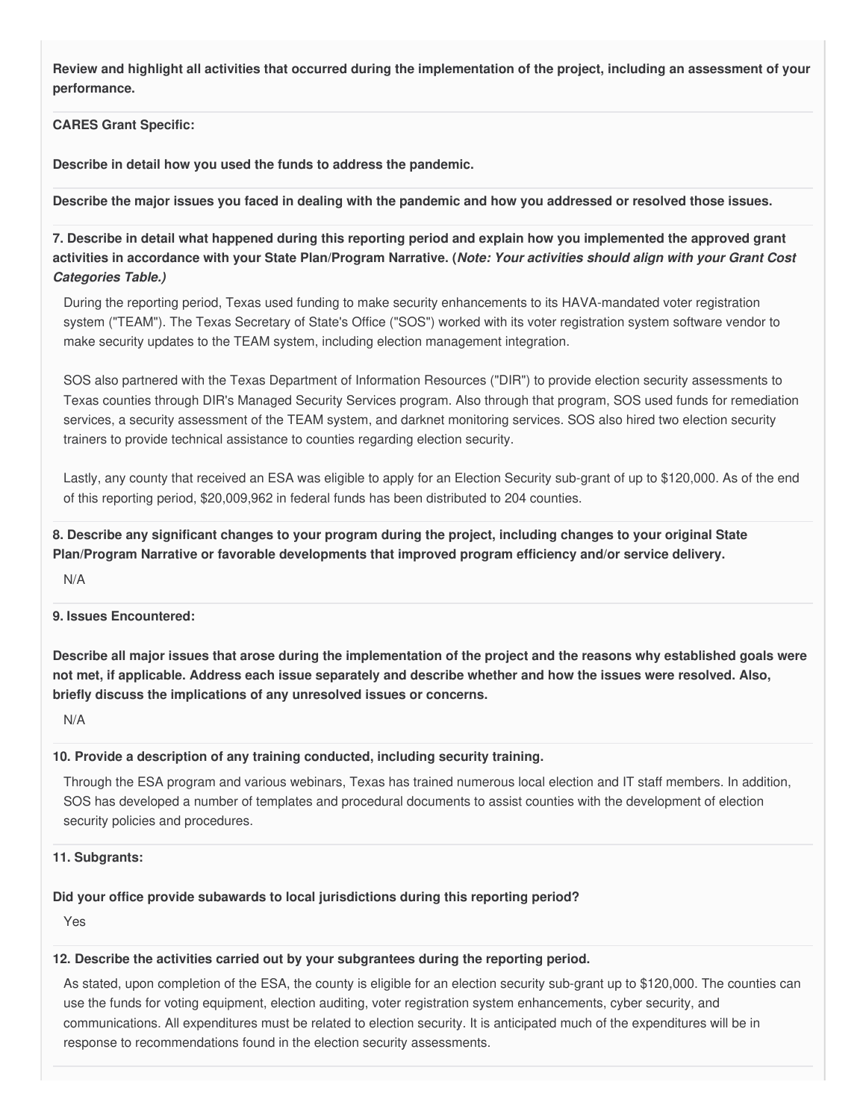Review and highlight all activities that occurred during the implementation of the project, including an assessment of your **performance.**

 **CARES Grant Specific:**

 **Describe in detail how you used the funds to address the pandemic.**

Describe the major issues you faced in dealing with the pandemic and how you addressed or resolved those issues.

7. Describe in detail what happened during this reporting period and explain how you implemented the approved grant activities in accordance with your State Plan/Program Narrative. (*Note: Your activities should align with your Grant Cost Categories Table.)*

 During the reporting period, Texas used funding to make security enhancements to its HAVA-mandated voter registration system ("TEAM"). The Texas Secretary of State's Office ("SOS") worked with its voter registration system software vendor to make security updates to the TEAM system, including election management integration.

 SOS also partnered with the Texas Department of Information Resources ("DIR") to provide election security assessments to Texas counties through DIR's Managed Security Services program. Also through that program, SOS used funds for remediation services, a security assessment of the TEAM system, and darknet monitoring services. SOS also hired two election security trainers to provide technical assistance to counties regarding election security.

 Lastly, any county that received an ESA was eligible to apply for an Election Security sub-grant of up to \$120,000. As of the end of this reporting period, \$20,009,962 in federal funds has been distributed to 204 counties.

8. Describe any significant changes to your program during the project, including changes to your original State  **Plan/Program Narrative or favorable developments that improved program efficiency and/or service delivery.**

N/A

### **9. Issues Encountered:**

Describe all major issues that arose during the implementation of the project and the reasons why established goals were not met, if applicable. Address each issue separately and describe whether and how the issues were resolved. Also,  **briefly discuss the implications of any unresolved issues or concerns.**

N/A

### **10. Provide a description of any training conducted, including security training.**

 Through the ESA program and various webinars, Texas has trained numerous local election and IT staff members. In addition, SOS has developed a number of templates and procedural documents to assist counties with the development of election security policies and procedures.

### **11. Subgrants:**

# **Did your office provide subawards to local jurisdictions during this reporting period?**

Yes

### **12. Describe the activities carried out by your subgrantees during the reporting period.**

 As stated, upon completion of the ESA, the county is eligible for an election security sub-grant up to \$120,000. The counties can use the funds for voting equipment, election auditing, voter registration system enhancements, cyber security, and communications. All expenditures must be related to election security. It is anticipated much of the expenditures will be in response to recommendations found in the election security assessments.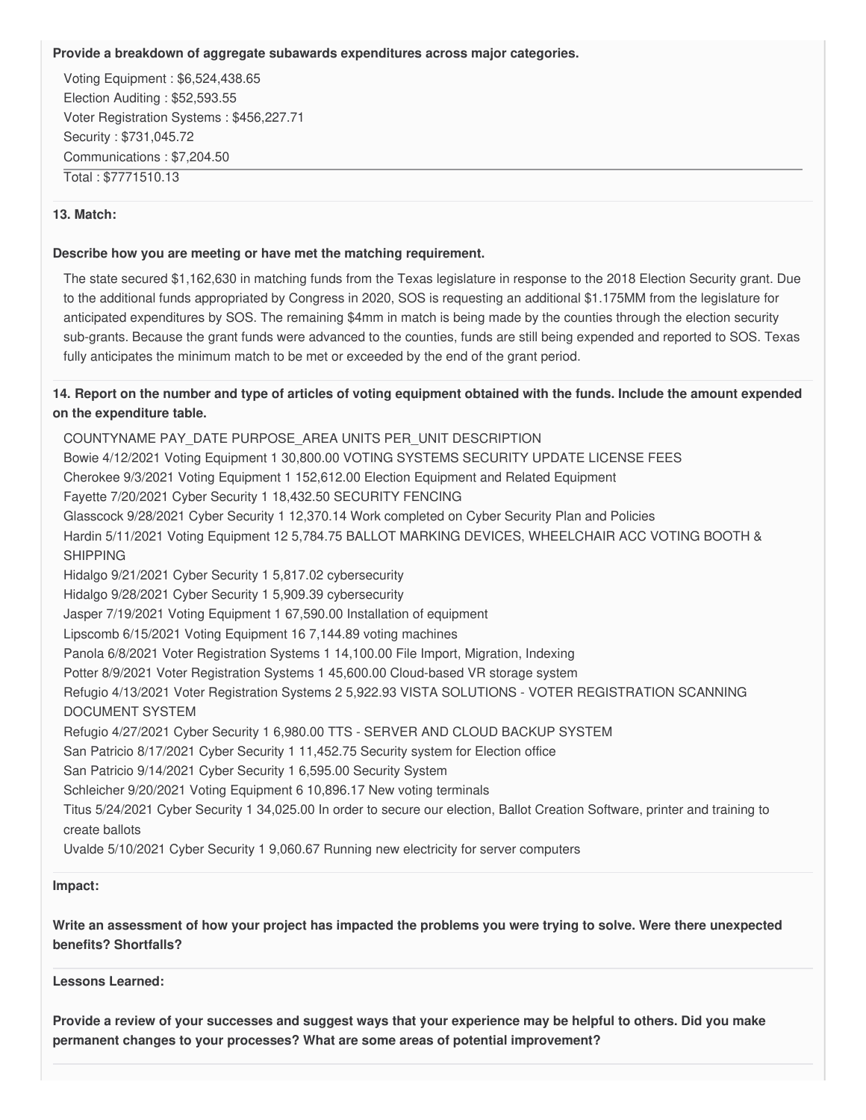#### **Provide a breakdown of aggregate subawards expenditures across major categories.**

 Voting Equipment : [\\$6,524,438.65](https://6,524,438.65) Election Auditing : [\\$52,593.55](https://52,593.55) Voter Registration Systems : [\\$456,227.71](https://456,227.71) Security : \$[731,045.72](https://731,045.72) Communications : [\\$7,204.50](https://7,204.50) Total : [\\$7771510.13](https://7771510.13)

### **13. Match:**

### **Describe how you are meeting or have met the matching requirement.**

 The state secured \$1,162,630 in matching funds from the Texas legislature in response to the 2018 Election Security grant. Due to the additional funds appropriated by Congress in 2020, SOS is requesting an additional \$1.175MM from the legislature for anticipated expenditures by SOS. The remaining \$4mm in match is being made by the counties through the election security sub-grants. Because the grant funds were advanced to the counties, funds are still being expended and reported to SOS. Texas fully anticipates the minimum match to be met or exceeded by the end of the grant period.

### 14. Report on the number and type of articles of voting equipment obtained with the funds. Include the amount expended  **on the expenditure table.**

 COUNTYNAME PAY\_DATE PURPOSE\_AREA UNITS PER\_UNIT DESCRIPTION Bowie 4/12/2021 Voting Equipment 1 [30,800.00](https://30,800.00) VOTING SYSTEMS SECURITY UPDATE LICENSE FEES Cherokee 9/3/2021 Voting Equipment 1 [152,612.00](https://152,612.00) Election Equipment and Related Equipment Fayette 7/20/2021 Cyber Security 1 [18,432.50](https://18,432.50) SECURITY FENCING Glasscock 9/28/2021 Cyber Security 1 [12,370.14](https://12,370.14) Work completed on Cyber Security Plan and Policies Hardin 5/11/2021 Voting Equipment 12 [5,784.75](https://5,784.75) BALLOT MARKING DEVICES, WHEELCHAIR ACC VOTING BOOTH & Hidalgo 9/21/2021 Cyber Security 1 [5,817.02](https://5,817.02) cybersecurity Jasper 7/19/2021 Voting Equipment 1 [67,590.00](https://67,590.00) Installation of equipment Lipscomb 6/15/2021 Voting Equipment 16 [7,144.89](https://7,144.89) voting machines Panola 6/8/2021 Voter Registration Systems 1 [14,100.00](https://14,100.00) File Import, Migration, Indexing Potter 8/9/2021 Voter Registration Systems 1 [45,600.00](https://45,600.00) Cloud-based VR storage system Refugio 4/13/2021 Voter Registration Systems 2 [5,922.93](https://5,922.93) VISTA SOLUTIONS - VOTER REGISTRATION SCANNING Refugio 4/27/2021 Cyber Security 1 [6,980.00](https://6,980.00) TTS - SERVER AND CLOUD BACKUP SYSTEM San Patricio 8/17/2021 Cyber Security 1 [11,452.75](https://11,452.75) Security system for Election office San Patricio 9/14/2021 Cyber Security 1 [6,595.00](https://6,595.00) Security System Schleicher 9/20/2021 Voting Equipment 6 [10,896.17](https://10,896.17) New voting terminals Titus 5/24/2021 Cyber Security 1 [34,025.00](https://34,025.00) In order to secure our election, Ballot Creation Software, printer and training to Uvalde 5/10/2021 Cyber Security 1 [9,060.67](https://9,060.67) Running new electricity for server computers SHIPPING Hidalgo 9/28/2021 Cyber Security 1 [5,909.39](https://5,909.39) cybersecurity DOCUMENT SYSTEM create ballots

#### **Impact:**

Write an assessment of how your project has impacted the problems you were trying to solve. Were there unexpected **benefits? Shortfalls?**

### **Lessons Learned:**

Provide a review of your successes and suggest ways that your experience may be helpful to others. Did you make  **permanent changes to your processes? What are some areas of potential improvement?**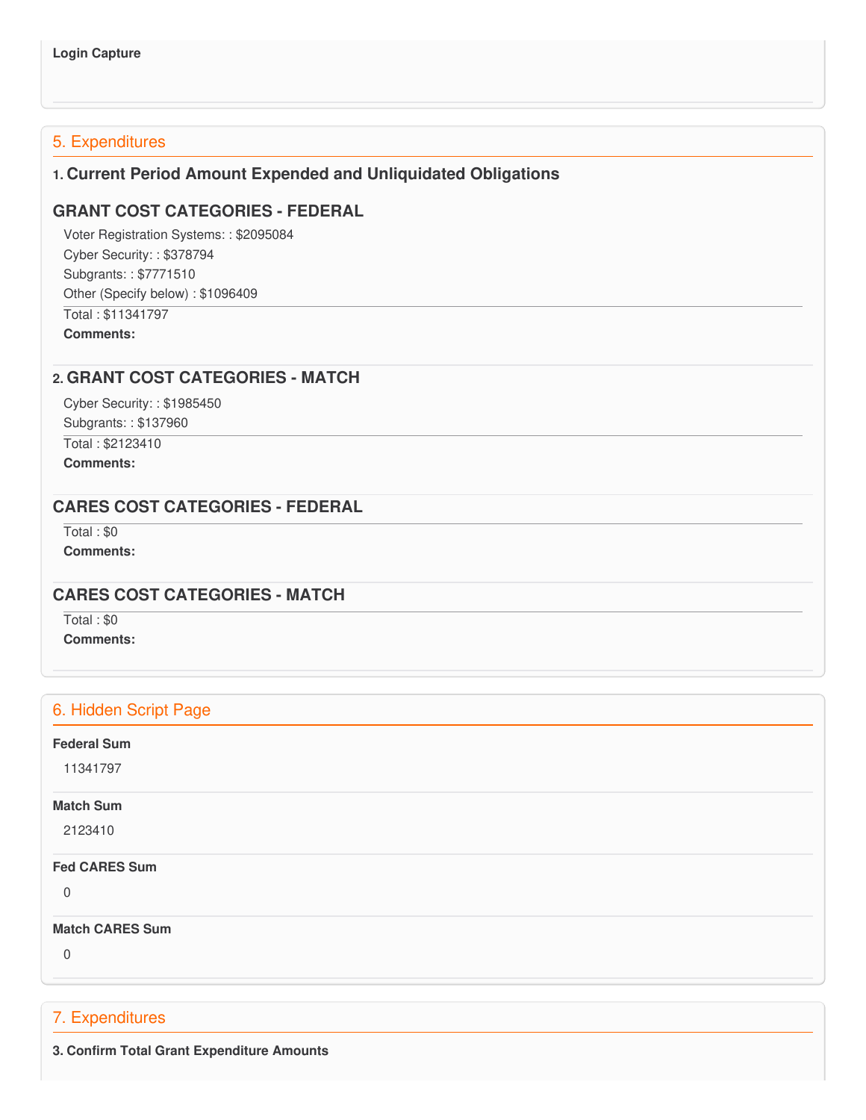# 5. Expenditures

### **1. Current Period Amount Expended and Unliquidated Obligations**

## **GRANT COST CATEGORIES - FEDERAL**

 Voter Registration Systems: : \$2095084 Cyber Security: : \$378794 Subgrants: : \$7771510 Other (Specify below) : \$1096409 Total : \$11341797

**Comments:**

### **2. GRANT COST CATEGORIES - MATCH**

 Cyber Security: : \$1985450 Subgrants: : \$137960

 Total : \$2123410 **Comments:**

### **CARES COST CATEGORIES - FEDERAL**

 Total : \$0 **Comments:**

### **CARES COST CATEGORIES - MATCH**

Total : \$0

**Comments:**

### 6. Hidden Script Page

#### **Federal Sum**

11341797

### **Match Sum**

2123410

#### **Fed CARES Sum**

0

#### **Match CARES Sum**

0

### 7. Expenditures

 **3. Confirm Total Grant Expenditure Amounts**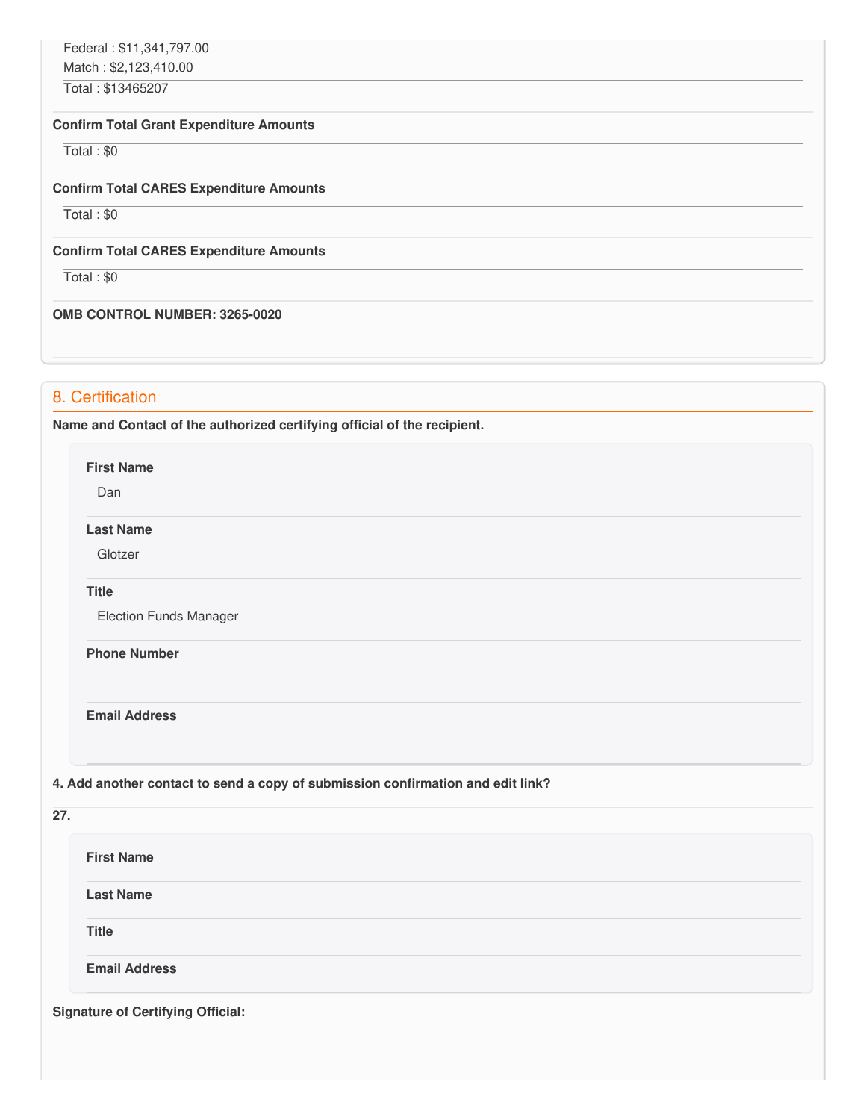Federal : \$[11,341,797.00](https://11,341,797.00) Match : \$[2,123,410.00](https://2,123,410.00)

Total : \$13465207

### **Confirm Total Grant Expenditure Amounts**

Total : \$0

#### **Confirm Total CARES Expenditure Amounts**

Total : \$0

#### **Confirm Total CARES Expenditure Amounts**

Total : \$0

### **OMB CONTROL NUMBER: 3265-0020**

# 8. Certification

 **Name and Contact of the authorized certifying official of the recipient.**

**First Name**

Dan

### **Last Name**

Glotzer

### **Title**

Election Funds Manager

### **Phone Number**

**Email Address**

### **4. Add another contact to send a copy of submission confirmation and edit link?**

| 27. |                                          |
|-----|------------------------------------------|
|     | <b>First Name</b>                        |
|     | <b>Last Name</b>                         |
|     | <b>Title</b>                             |
|     | <b>Email Address</b>                     |
|     | <b>Signature of Certifying Official:</b> |